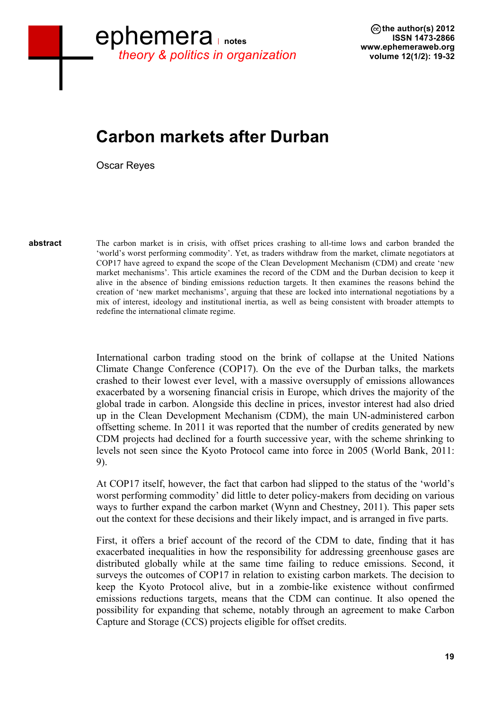# **Carbon markets after Durban**

Oscar Reyes

**abstract**

The carbon market is in crisis, with offset prices crashing to all-time lows and carbon branded the 'world's worst performing commodity'. Yet, as traders withdraw from the market, climate negotiators at COP17 have agreed to expand the scope of the Clean Development Mechanism (CDM) and create 'new market mechanisms'. This article examines the record of the CDM and the Durban decision to keep it alive in the absence of binding emissions reduction targets. It then examines the reasons behind the creation of 'new market mechanisms', arguing that these are locked into international negotiations by a mix of interest, ideology and institutional inertia, as well as being consistent with broader attempts to redefine the international climate regime.

International carbon trading stood on the brink of collapse at the United Nations Climate Change Conference (COP17). On the eve of the Durban talks, the markets crashed to their lowest ever level, with a massive oversupply of emissions allowances exacerbated by a worsening financial crisis in Europe, which drives the majority of the global trade in carbon. Alongside this decline in prices, investor interest had also dried up in the Clean Development Mechanism (CDM), the main UN-administered carbon offsetting scheme. In 2011 it was reported that the number of credits generated by new CDM projects had declined for a fourth successive year, with the scheme shrinking to levels not seen since the Kyoto Protocol came into force in 2005 (World Bank, 2011: 9).

At COP17 itself, however, the fact that carbon had slipped to the status of the 'world's worst performing commodity' did little to deter policy-makers from deciding on various ways to further expand the carbon market (Wynn and Chestney, 2011). This paper sets out the context for these decisions and their likely impact, and is arranged in five parts.

First, it offers a brief account of the record of the CDM to date, finding that it has exacerbated inequalities in how the responsibility for addressing greenhouse gases are distributed globally while at the same time failing to reduce emissions. Second, it surveys the outcomes of COP17 in relation to existing carbon markets. The decision to keep the Kyoto Protocol alive, but in a zombie-like existence without confirmed emissions reductions targets, means that the CDM can continue. It also opened the possibility for expanding that scheme, notably through an agreement to make Carbon Capture and Storage (CCS) projects eligible for offset credits.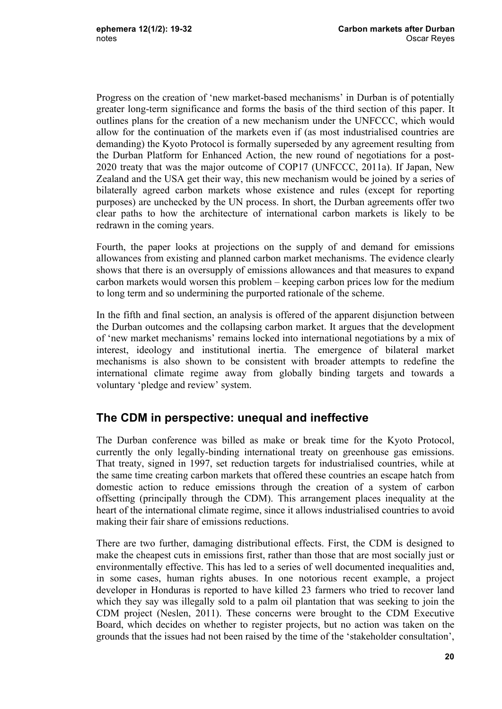Progress on the creation of 'new market-based mechanisms' in Durban is of potentially greater long-term significance and forms the basis of the third section of this paper. It outlines plans for the creation of a new mechanism under the UNFCCC, which would allow for the continuation of the markets even if (as most industrialised countries are demanding) the Kyoto Protocol is formally superseded by any agreement resulting from the Durban Platform for Enhanced Action, the new round of negotiations for a post-2020 treaty that was the major outcome of COP17 (UNFCCC, 2011a). If Japan, New Zealand and the USA get their way, this new mechanism would be joined by a series of bilaterally agreed carbon markets whose existence and rules (except for reporting purposes) are unchecked by the UN process. In short, the Durban agreements offer two clear paths to how the architecture of international carbon markets is likely to be redrawn in the coming years.

Fourth, the paper looks at projections on the supply of and demand for emissions allowances from existing and planned carbon market mechanisms. The evidence clearly shows that there is an oversupply of emissions allowances and that measures to expand carbon markets would worsen this problem – keeping carbon prices low for the medium to long term and so undermining the purported rationale of the scheme.

In the fifth and final section, an analysis is offered of the apparent disjunction between the Durban outcomes and the collapsing carbon market. It argues that the development of 'new market mechanisms' remains locked into international negotiations by a mix of interest, ideology and institutional inertia. The emergence of bilateral market mechanisms is also shown to be consistent with broader attempts to redefine the international climate regime away from globally binding targets and towards a voluntary 'pledge and review' system.

## **The CDM in perspective: unequal and ineffective**

The Durban conference was billed as make or break time for the Kyoto Protocol, currently the only legally-binding international treaty on greenhouse gas emissions. That treaty, signed in 1997, set reduction targets for industrialised countries, while at the same time creating carbon markets that offered these countries an escape hatch from domestic action to reduce emissions through the creation of a system of carbon offsetting (principally through the CDM). This arrangement places inequality at the heart of the international climate regime, since it allows industrialised countries to avoid making their fair share of emissions reductions.

There are two further, damaging distributional effects. First, the CDM is designed to make the cheapest cuts in emissions first, rather than those that are most socially just or environmentally effective. This has led to a series of well documented inequalities and, in some cases, human rights abuses. In one notorious recent example, a project developer in Honduras is reported to have killed 23 farmers who tried to recover land which they say was illegally sold to a palm oil plantation that was seeking to join the CDM project (Neslen, 2011). These concerns were brought to the CDM Executive Board, which decides on whether to register projects, but no action was taken on the grounds that the issues had not been raised by the time of the 'stakeholder consultation',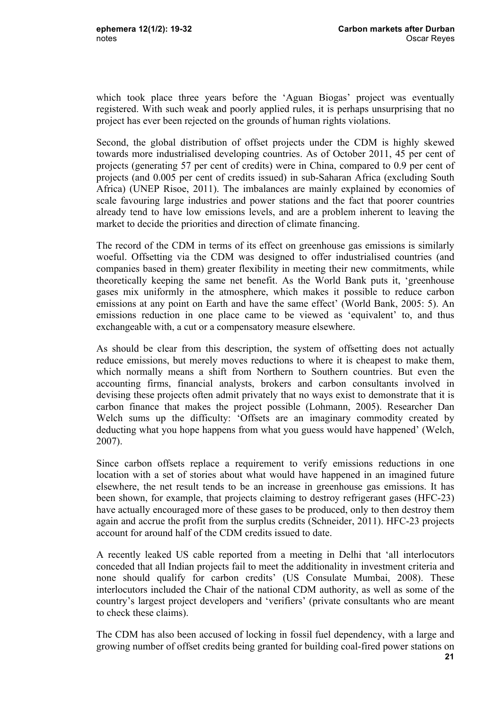which took place three years before the 'Aguan Biogas' project was eventually registered. With such weak and poorly applied rules, it is perhaps unsurprising that no project has ever been rejected on the grounds of human rights violations.

Second, the global distribution of offset projects under the CDM is highly skewed towards more industrialised developing countries. As of October 2011, 45 per cent of projects (generating 57 per cent of credits) were in China, compared to 0.9 per cent of projects (and 0.005 per cent of credits issued) in sub-Saharan Africa (excluding South Africa) (UNEP Risoe, 2011). The imbalances are mainly explained by economies of scale favouring large industries and power stations and the fact that poorer countries already tend to have low emissions levels, and are a problem inherent to leaving the market to decide the priorities and direction of climate financing.

The record of the CDM in terms of its effect on greenhouse gas emissions is similarly woeful. Offsetting via the CDM was designed to offer industrialised countries (and companies based in them) greater flexibility in meeting their new commitments, while theoretically keeping the same net benefit. As the World Bank puts it, 'greenhouse gases mix uniformly in the atmosphere, which makes it possible to reduce carbon emissions at any point on Earth and have the same effect' (World Bank, 2005: 5). An emissions reduction in one place came to be viewed as 'equivalent' to, and thus exchangeable with, a cut or a compensatory measure elsewhere.

As should be clear from this description, the system of offsetting does not actually reduce emissions, but merely moves reductions to where it is cheapest to make them, which normally means a shift from Northern to Southern countries. But even the accounting firms, financial analysts, brokers and carbon consultants involved in devising these projects often admit privately that no ways exist to demonstrate that it is carbon finance that makes the project possible (Lohmann, 2005). Researcher Dan Welch sums up the difficulty: 'Offsets are an imaginary commodity created by deducting what you hope happens from what you guess would have happened' (Welch, 2007).

Since carbon offsets replace a requirement to verify emissions reductions in one location with a set of stories about what would have happened in an imagined future elsewhere, the net result tends to be an increase in greenhouse gas emissions. It has been shown, for example, that projects claiming to destroy refrigerant gases (HFC-23) have actually encouraged more of these gases to be produced, only to then destroy them again and accrue the profit from the surplus credits (Schneider, 2011). HFC-23 projects account for around half of the CDM credits issued to date.

A recently leaked US cable reported from a meeting in Delhi that 'all interlocutors conceded that all Indian projects fail to meet the additionality in investment criteria and none should qualify for carbon credits' (US Consulate Mumbai, 2008). These interlocutors included the Chair of the national CDM authority, as well as some of the country's largest project developers and 'verifiers' (private consultants who are meant to check these claims).

The CDM has also been accused of locking in fossil fuel dependency, with a large and growing number of offset credits being granted for building coal-fired power stations on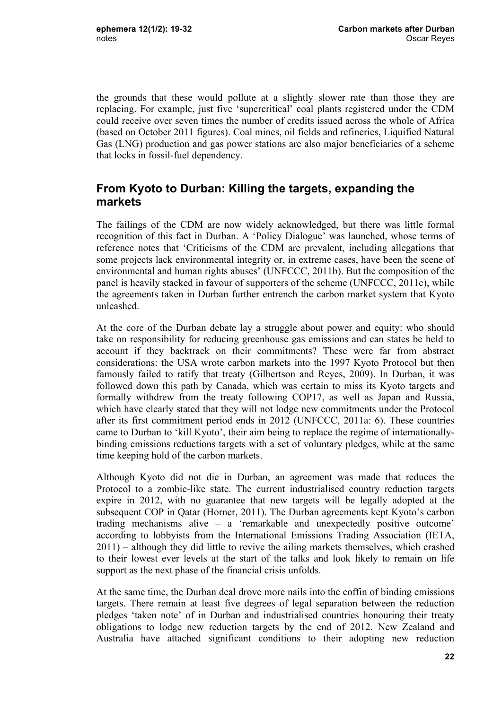the grounds that these would pollute at a slightly slower rate than those they are replacing. For example, just five 'supercritical' coal plants registered under the CDM could receive over seven times the number of credits issued across the whole of Africa (based on October 2011 figures). Coal mines, oil fields and refineries, Liquified Natural Gas (LNG) production and gas power stations are also major beneficiaries of a scheme that locks in fossil-fuel dependency.

## **From Kyoto to Durban: Killing the targets, expanding the markets**

The failings of the CDM are now widely acknowledged, but there was little formal recognition of this fact in Durban. A 'Policy Dialogue' was launched, whose terms of reference notes that 'Criticisms of the CDM are prevalent, including allegations that some projects lack environmental integrity or, in extreme cases, have been the scene of environmental and human rights abuses' (UNFCCC, 2011b). But the composition of the panel is heavily stacked in favour of supporters of the scheme (UNFCCC, 2011c), while the agreements taken in Durban further entrench the carbon market system that Kyoto unleashed.

At the core of the Durban debate lay a struggle about power and equity: who should take on responsibility for reducing greenhouse gas emissions and can states be held to account if they backtrack on their commitments? These were far from abstract considerations: the USA wrote carbon markets into the 1997 Kyoto Protocol but then famously failed to ratify that treaty (Gilbertson and Reyes, 2009). In Durban, it was followed down this path by Canada, which was certain to miss its Kyoto targets and formally withdrew from the treaty following COP17, as well as Japan and Russia, which have clearly stated that they will not lodge new commitments under the Protocol after its first commitment period ends in 2012 (UNFCCC, 2011a: 6). These countries came to Durban to 'kill Kyoto', their aim being to replace the regime of internationallybinding emissions reductions targets with a set of voluntary pledges, while at the same time keeping hold of the carbon markets.

Although Kyoto did not die in Durban, an agreement was made that reduces the Protocol to a zombie-like state. The current industrialised country reduction targets expire in 2012, with no guarantee that new targets will be legally adopted at the subsequent COP in Oatar (Horner, 2011). The Durban agreements kept Kyoto's carbon trading mechanisms alive – a 'remarkable and unexpectedly positive outcome' according to lobbyists from the International Emissions Trading Association (IETA, 2011) – although they did little to revive the ailing markets themselves, which crashed to their lowest ever levels at the start of the talks and look likely to remain on life support as the next phase of the financial crisis unfolds.

At the same time, the Durban deal drove more nails into the coffin of binding emissions targets. There remain at least five degrees of legal separation between the reduction pledges 'taken note' of in Durban and industrialised countries honouring their treaty obligations to lodge new reduction targets by the end of 2012. New Zealand and Australia have attached significant conditions to their adopting new reduction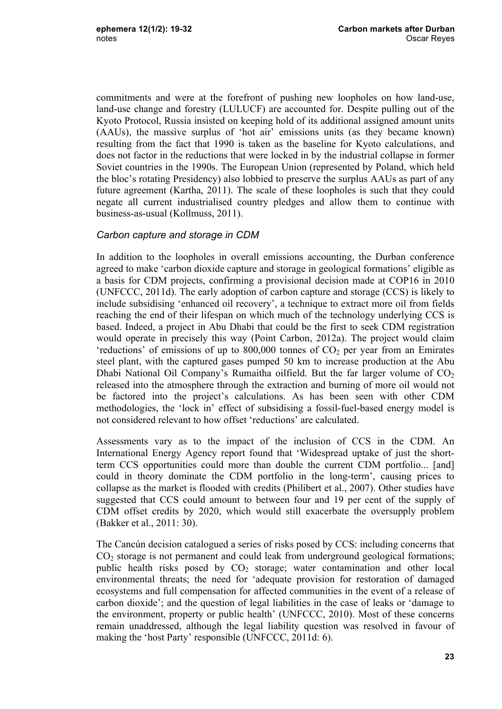commitments and were at the forefront of pushing new loopholes on how land-use, land-use change and forestry (LULUCF) are accounted for. Despite pulling out of the Kyoto Protocol, Russia insisted on keeping hold of its additional assigned amount units (AAUs), the massive surplus of 'hot air' emissions units (as they became known) resulting from the fact that 1990 is taken as the baseline for Kyoto calculations, and does not factor in the reductions that were locked in by the industrial collapse in former Soviet countries in the 1990s. The European Union (represented by Poland, which held the bloc's rotating Presidency) also lobbied to preserve the surplus AAUs as part of any future agreement (Kartha, 2011). The scale of these loopholes is such that they could negate all current industrialised country pledges and allow them to continue with business-as-usual (Kollmuss, 2011).

### *Carbon capture and storage in CDM*

In addition to the loopholes in overall emissions accounting, the Durban conference agreed to make 'carbon dioxide capture and storage in geological formations' eligible as a basis for CDM projects, confirming a provisional decision made at COP16 in 2010 (UNFCCC, 2011d). The early adoption of carbon capture and storage (CCS) is likely to include subsidising 'enhanced oil recovery', a technique to extract more oil from fields reaching the end of their lifespan on which much of the technology underlying CCS is based. Indeed, a project in Abu Dhabi that could be the first to seek CDM registration would operate in precisely this way (Point Carbon, 2012a). The project would claim 'reductions' of emissions of up to  $800,000$  tonnes of  $CO<sub>2</sub>$  per year from an Emirates steel plant, with the captured gases pumped 50 km to increase production at the Abu Dhabi National Oil Company's Rumaitha oilfield. But the far larger volume of  $CO<sub>2</sub>$ released into the atmosphere through the extraction and burning of more oil would not be factored into the project's calculations. As has been seen with other CDM methodologies, the 'lock in' effect of subsidising a fossil-fuel-based energy model is not considered relevant to how offset 'reductions' are calculated.

Assessments vary as to the impact of the inclusion of CCS in the CDM. An International Energy Agency report found that 'Widespread uptake of just the shortterm CCS opportunities could more than double the current CDM portfolio... [and] could in theory dominate the CDM portfolio in the long-term', causing prices to collapse as the market is flooded with credits (Philibert et al., 2007). Other studies have suggested that CCS could amount to between four and 19 per cent of the supply of CDM offset credits by 2020, which would still exacerbate the oversupply problem (Bakker et al., 2011: 30).

The Cancún decision catalogued a series of risks posed by CCS: including concerns that  $CO<sub>2</sub>$  storage is not permanent and could leak from underground geological formations; public health risks posed by  $CO<sub>2</sub>$  storage; water contamination and other local environmental threats; the need for 'adequate provision for restoration of damaged ecosystems and full compensation for affected communities in the event of a release of carbon dioxide'; and the question of legal liabilities in the case of leaks or 'damage to the environment, property or public health' (UNFCCC, 2010). Most of these concerns remain unaddressed, although the legal liability question was resolved in favour of making the 'host Party' responsible (UNFCCC, 2011d: 6).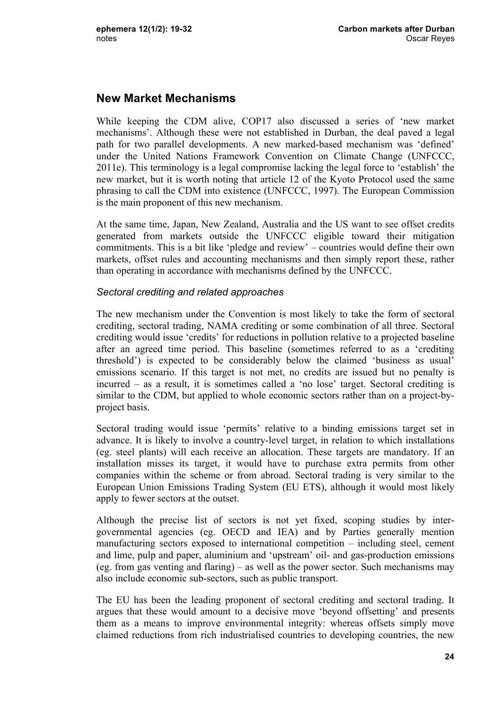## **New Market Mechanisms**

While keeping the CDM alive, COP17 also discussed a series of 'new market mechanisms'. Although these were not established in Durban, the deal paved a legal path for two parallel developments. A new marked-based mechanism was 'defined' under the United Nations Framework Convention on Climate Change (UNFCCC, 2011e). This terminology is a legal compromise lacking the legal force to 'establish' the new market, but it is worth noting that article 12 of the Kyoto Protocol used the same phrasing to call the CDM into existence (UNFCCC, 1997). The European Commission is the main proponent of this new mechanism.

At the same time, Japan, New Zealand, Australia and the US want to see offset credits generated from markets outside the UNFCCC eligible toward their mitigation commitments. This is a bit like 'pledge and review' – countries would define their own markets, offset rules and accounting mechanisms and then simply report these, rather than operating in accordance with mechanisms defined by the UNFCCC.

#### *Sectoral crediting and related approaches*

The new mechanism under the Convention is most likely to take the form of sectoral crediting, sectoral trading, NAMA crediting or some combination of all three. Sectoral crediting would issue 'credits' for reductions in pollution relative to a projected baseline after an agreed time period. This baseline (sometimes referred to as a 'crediting threshold') is expected to be considerably below the claimed 'business as usual' emissions scenario. If this target is not met, no credits are issued but no penalty is incurred – as a result, it is sometimes called a 'no lose' target. Sectoral crediting is similar to the CDM, but applied to whole economic sectors rather than on a project-byproject basis.

Sectoral trading would issue 'permits' relative to a binding emissions target set in advance. It is likely to involve a country-level target, in relation to which installations (eg. steel plants) will each receive an allocation. These targets are mandatory. If an installation misses its target, it would have to purchase extra permits from other companies within the scheme or from abroad. Sectoral trading is very similar to the European Union Emissions Trading System (EU ETS), although it would most likely apply to fewer sectors at the outset.

Although the precise list of sectors is not yet fixed, scoping studies by intergovernmental agencies (eg. OECD and IEA) and by Parties generally mention manufacturing sectors exposed to international competition – including steel, cement and lime, pulp and paper, aluminium and 'upstream' oil- and gas-production emissions (eg. from gas venting and flaring) – as well as the power sector. Such mechanisms may also include economic sub-sectors, such as public transport.

The EU has been the leading proponent of sectoral crediting and sectoral trading. It argues that these would amount to a decisive move 'beyond offsetting' and presents them as a means to improve environmental integrity: whereas offsets simply move claimed reductions from rich industrialised countries to developing countries, the new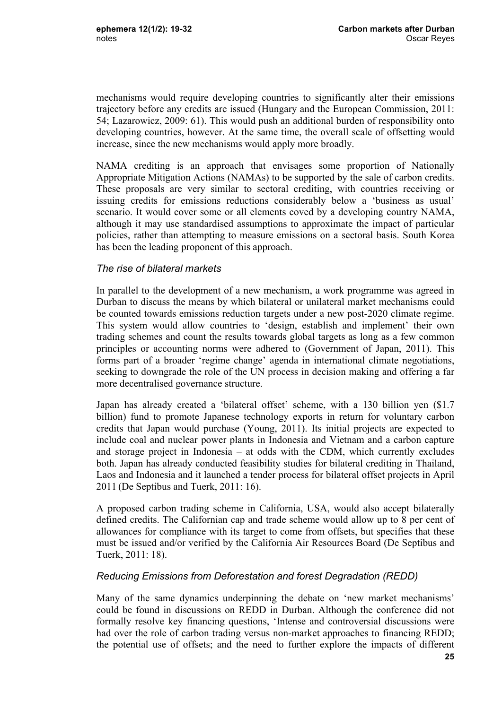mechanisms would require developing countries to significantly alter their emissions trajectory before any credits are issued (Hungary and the European Commission, 2011: 54; Lazarowicz, 2009: 61). This would push an additional burden of responsibility onto developing countries, however. At the same time, the overall scale of offsetting would increase, since the new mechanisms would apply more broadly.

NAMA crediting is an approach that envisages some proportion of Nationally Appropriate Mitigation Actions (NAMAs) to be supported by the sale of carbon credits. These proposals are very similar to sectoral crediting, with countries receiving or issuing credits for emissions reductions considerably below a 'business as usual' scenario. It would cover some or all elements coved by a developing country NAMA, although it may use standardised assumptions to approximate the impact of particular policies, rather than attempting to measure emissions on a sectoral basis. South Korea has been the leading proponent of this approach.

#### *The rise of bilateral markets*

In parallel to the development of a new mechanism, a work programme was agreed in Durban to discuss the means by which bilateral or unilateral market mechanisms could be counted towards emissions reduction targets under a new post-2020 climate regime. This system would allow countries to 'design, establish and implement' their own trading schemes and count the results towards global targets as long as a few common principles or accounting norms were adhered to (Government of Japan, 2011). This forms part of a broader 'regime change' agenda in international climate negotiations, seeking to downgrade the role of the UN process in decision making and offering a far more decentralised governance structure.

Japan has already created a 'bilateral offset' scheme, with a 130 billion yen (\$1.7 billion) fund to promote Japanese technology exports in return for voluntary carbon credits that Japan would purchase (Young, 2011). Its initial projects are expected to include coal and nuclear power plants in Indonesia and Vietnam and a carbon capture and storage project in Indonesia – at odds with the CDM, which currently excludes both. Japan has already conducted feasibility studies for bilateral crediting in Thailand, Laos and Indonesia and it launched a tender process for bilateral offset projects in April 2011 (De Septibus and Tuerk, 2011: 16).

A proposed carbon trading scheme in California, USA, would also accept bilaterally defined credits. The Californian cap and trade scheme would allow up to 8 per cent of allowances for compliance with its target to come from offsets, but specifies that these must be issued and/or verified by the California Air Resources Board (De Septibus and Tuerk, 2011: 18).

### *Reducing Emissions from Deforestation and forest Degradation (REDD)*

Many of the same dynamics underpinning the debate on 'new market mechanisms' could be found in discussions on REDD in Durban. Although the conference did not formally resolve key financing questions, 'Intense and controversial discussions were had over the role of carbon trading versus non-market approaches to financing REDD; the potential use of offsets; and the need to further explore the impacts of different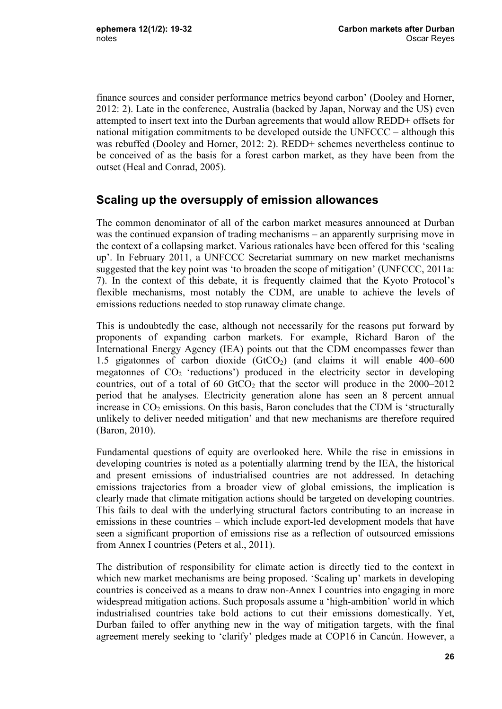finance sources and consider performance metrics beyond carbon' (Dooley and Horner, 2012: 2). Late in the conference, Australia (backed by Japan, Norway and the US) even attempted to insert text into the Durban agreements that would allow REDD+ offsets for national mitigation commitments to be developed outside the UNFCCC – although this was rebuffed (Dooley and Horner, 2012: 2). REDD+ schemes nevertheless continue to be conceived of as the basis for a forest carbon market, as they have been from the outset (Heal and Conrad, 2005).

## **Scaling up the oversupply of emission allowances**

The common denominator of all of the carbon market measures announced at Durban was the continued expansion of trading mechanisms – an apparently surprising move in the context of a collapsing market. Various rationales have been offered for this 'scaling up'. In February 2011, a UNFCCC Secretariat summary on new market mechanisms suggested that the key point was 'to broaden the scope of mitigation' (UNFCCC, 2011a: 7). In the context of this debate, it is frequently claimed that the Kyoto Protocol's flexible mechanisms, most notably the CDM, are unable to achieve the levels of emissions reductions needed to stop runaway climate change.

This is undoubtedly the case, although not necessarily for the reasons put forward by proponents of expanding carbon markets. For example, Richard Baron of the International Energy Agency (IEA) points out that the CDM encompasses fewer than 1.5 gigatonnes of carbon dioxide  $(GtCO<sub>2</sub>)$  (and claims it will enable 400–600 megatonnes of  $CO<sub>2</sub>$  'reductions') produced in the electricity sector in developing countries, out of a total of 60  $GtCO<sub>2</sub>$  that the sector will produce in the 2000–2012 period that he analyses. Electricity generation alone has seen an 8 percent annual increase in  $CO<sub>2</sub>$  emissions. On this basis, Baron concludes that the CDM is 'structurally unlikely to deliver needed mitigation' and that new mechanisms are therefore required (Baron, 2010).

Fundamental questions of equity are overlooked here. While the rise in emissions in developing countries is noted as a potentially alarming trend by the IEA, the historical and present emissions of industrialised countries are not addressed. In detaching emissions trajectories from a broader view of global emissions, the implication is clearly made that climate mitigation actions should be targeted on developing countries. This fails to deal with the underlying structural factors contributing to an increase in emissions in these countries – which include export-led development models that have seen a significant proportion of emissions rise as a reflection of outsourced emissions from Annex I countries (Peters et al., 2011).

The distribution of responsibility for climate action is directly tied to the context in which new market mechanisms are being proposed. 'Scaling up' markets in developing countries is conceived as a means to draw non-Annex I countries into engaging in more widespread mitigation actions. Such proposals assume a 'high-ambition' world in which industrialised countries take bold actions to cut their emissions domestically. Yet, Durban failed to offer anything new in the way of mitigation targets, with the final agreement merely seeking to 'clarify' pledges made at COP16 in Cancún. However, a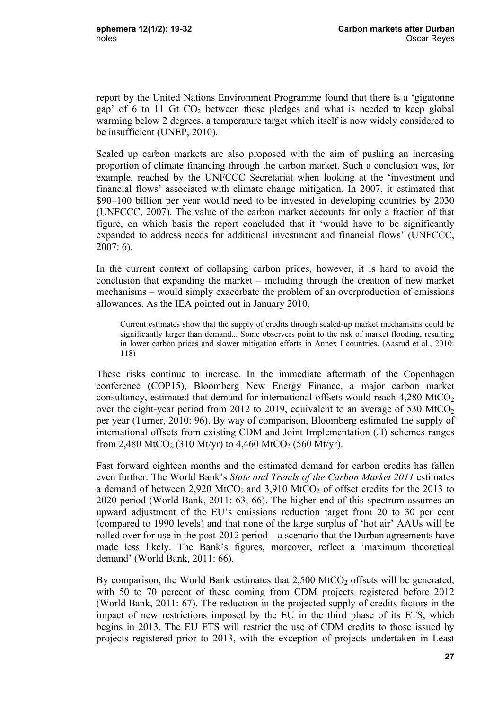report by the United Nations Environment Programme found that there is a 'gigatonne gap' of 6 to 11 Gt CO2 between these pledges and what is needed to keep global warming below 2 degrees, a temperature target which itself is now widely considered to be insufficient (UNEP, 2010).

Scaled up carbon markets are also proposed with the aim of pushing an increasing proportion of climate financing through the carbon market. Such a conclusion was, for example, reached by the UNFCCC Secretariat when looking at the 'investment and financial flows' associated with climate change mitigation. In 2007, it estimated that \$90–100 billion per year would need to be invested in developing countries by 2030 (UNFCCC, 2007). The value of the carbon market accounts for only a fraction of that figure, on which basis the report concluded that it 'would have to be significantly expanded to address needs for additional investment and financial flows' (UNFCCC, 2007: 6).

In the current context of collapsing carbon prices, however, it is hard to avoid the conclusion that expanding the market – including through the creation of new market mechanisms – would simply exacerbate the problem of an overproduction of emissions allowances. As the IEA pointed out in January 2010,

Current estimates show that the supply of credits through scaled-up market mechanisms could be significantly larger than demand... Some observers point to the risk of market flooding, resulting in lower carbon prices and slower mitigation efforts in Annex I countries. (Aasrud et al., 2010: 118)

These risks continue to increase. In the immediate aftermath of the Copenhagen conference (COP15), Bloomberg New Energy Finance, a major carbon market consultancy, estimated that demand for international offsets would reach  $4,280 \text{ MtCO}_2$ over the eight-year period from 2012 to 2019, equivalent to an average of 530 MtCO<sub>2</sub> per year (Turner, 2010: 96). By way of comparison, Bloomberg estimated the supply of international offsets from existing CDM and Joint Implementation (JI) schemes ranges from 2,480 MtCO<sub>2</sub> (310 Mt/yr) to 4,460 MtCO<sub>2</sub> (560 Mt/yr).

Fast forward eighteen months and the estimated demand for carbon credits has fallen even further. The World Bank's *State and Trends of the Carbon Market 2011* estimates a demand of between 2,920 MtCO<sub>2</sub> and 3,910 MtCO<sub>2</sub> of offset credits for the 2013 to 2020 period (World Bank, 2011: 63, 66). The higher end of this spectrum assumes an upward adjustment of the EU's emissions reduction target from 20 to 30 per cent (compared to 1990 levels) and that none of the large surplus of 'hot air' AAUs will be rolled over for use in the post-2012 period – a scenario that the Durban agreements have made less likely. The Bank's figures, moreover, reflect a 'maximum theoretical demand' (World Bank, 2011: 66).

By comparison, the World Bank estimates that  $2,500$  MtCO<sub>2</sub> offsets will be generated, with 50 to 70 percent of these coming from CDM projects registered before 2012 (World Bank, 2011: 67). The reduction in the projected supply of credits factors in the impact of new restrictions imposed by the EU in the third phase of its ETS, which begins in 2013. The EU ETS will restrict the use of CDM credits to those issued by projects registered prior to 2013, with the exception of projects undertaken in Least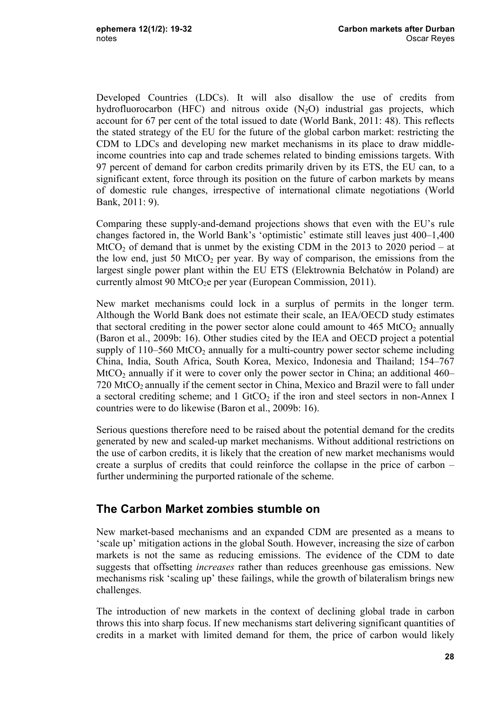Developed Countries (LDCs). It will also disallow the use of credits from hydrofluorocarbon (HFC) and nitrous oxide  $(N_2O)$  industrial gas projects, which account for 67 per cent of the total issued to date (World Bank, 2011: 48). This reflects the stated strategy of the EU for the future of the global carbon market: restricting the CDM to LDCs and developing new market mechanisms in its place to draw middleincome countries into cap and trade schemes related to binding emissions targets. With 97 percent of demand for carbon credits primarily driven by its ETS, the EU can, to a significant extent, force through its position on the future of carbon markets by means of domestic rule changes, irrespective of international climate negotiations (World Bank, 2011: 9).

Comparing these supply-and-demand projections shows that even with the EU's rule changes factored in, the World Bank's 'optimistic' estimate still leaves just 400–1,400 MtCO<sub>2</sub> of demand that is unmet by the existing CDM in the 2013 to 2020 period – at the low end, just 50 MtCO<sub>2</sub> per year. By way of comparison, the emissions from the largest single power plant within the EU ETS (Elektrownia Bełchatów in Poland) are currently almost 90 MtCO<sub>2</sub>e per year (European Commission, 2011).

New market mechanisms could lock in a surplus of permits in the longer term. Although the World Bank does not estimate their scale, an IEA/OECD study estimates that sectoral crediting in the power sector alone could amount to  $465 \text{ MtCO}_2$  annually (Baron et al., 2009b: 16). Other studies cited by the IEA and OECD project a potential supply of  $110-560$  MtCO<sub>2</sub> annually for a multi-country power sector scheme including China, India, South Africa, South Korea, Mexico, Indonesia and Thailand; 154–767  $MtCO<sub>2</sub>$  annually if it were to cover only the power sector in China; an additional 460–  $720$  MtCO<sub>2</sub> annually if the cement sector in China, Mexico and Brazil were to fall under a sectoral crediting scheme; and  $1 \text{ GtCO}_2$  if the iron and steel sectors in non-Annex I countries were to do likewise (Baron et al., 2009b: 16).

Serious questions therefore need to be raised about the potential demand for the credits generated by new and scaled-up market mechanisms. Without additional restrictions on the use of carbon credits, it is likely that the creation of new market mechanisms would create a surplus of credits that could reinforce the collapse in the price of carbon – further undermining the purported rationale of the scheme.

## **The Carbon Market zombies stumble on**

New market-based mechanisms and an expanded CDM are presented as a means to 'scale up' mitigation actions in the global South. However, increasing the size of carbon markets is not the same as reducing emissions. The evidence of the CDM to date suggests that offsetting *increases* rather than reduces greenhouse gas emissions. New mechanisms risk 'scaling up' these failings, while the growth of bilateralism brings new challenges.

The introduction of new markets in the context of declining global trade in carbon throws this into sharp focus. If new mechanisms start delivering significant quantities of credits in a market with limited demand for them, the price of carbon would likely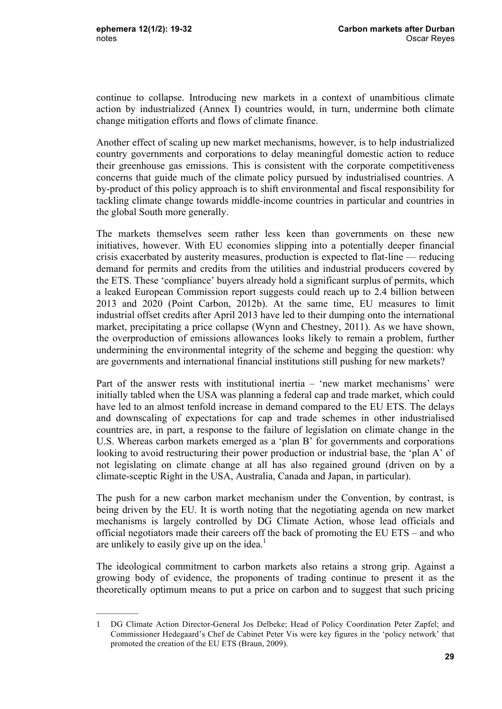$\frac{1}{2}$ 

continue to collapse. Introducing new markets in a context of unambitious climate action by industrialized (Annex I) countries would, in turn, undermine both climate change mitigation efforts and flows of climate finance.

Another effect of scaling up new market mechanisms, however, is to help industrialized country governments and corporations to delay meaningful domestic action to reduce their greenhouse gas emissions. This is consistent with the corporate competitiveness concerns that guide much of the climate policy pursued by industrialised countries. A by-product of this policy approach is to shift environmental and fiscal responsibility for tackling climate change towards middle-income countries in particular and countries in the global South more generally.

The markets themselves seem rather less keen than governments on these new initiatives, however. With EU economies slipping into a potentially deeper financial crisis exacerbated by austerity measures, production is expected to flat-line — reducing demand for permits and credits from the utilities and industrial producers covered by the ETS. These 'compliance' buyers already hold a significant surplus of permits, which a leaked European Commission report suggests could reach up to 2.4 billion between 2013 and 2020 (Point Carbon, 2012b). At the same time, EU measures to limit industrial offset credits after April 2013 have led to their dumping onto the international market, precipitating a price collapse (Wynn and Chestney, 2011). As we have shown, the overproduction of emissions allowances looks likely to remain a problem, further undermining the environmental integrity of the scheme and begging the question: why are governments and international financial institutions still pushing for new markets?

Part of the answer rests with institutional inertia – 'new market mechanisms' were initially tabled when the USA was planning a federal cap and trade market, which could have led to an almost tenfold increase in demand compared to the EU ETS. The delays and downscaling of expectations for cap and trade schemes in other industrialised countries are, in part, a response to the failure of legislation on climate change in the U.S. Whereas carbon markets emerged as a 'plan B' for governments and corporations looking to avoid restructuring their power production or industrial base, the 'plan A' of not legislating on climate change at all has also regained ground (driven on by a climate-sceptic Right in the USA, Australia, Canada and Japan, in particular).

The push for a new carbon market mechanism under the Convention, by contrast, is being driven by the EU. It is worth noting that the negotiating agenda on new market mechanisms is largely controlled by DG Climate Action, whose lead officials and official negotiators made their careers off the back of promoting the EU ETS – and who are unlikely to easily give up on the idea.<sup>1</sup>

The ideological commitment to carbon markets also retains a strong grip. Against a growing body of evidence, the proponents of trading continue to present it as the theoretically optimum means to put a price on carbon and to suggest that such pricing

<sup>1</sup> DG Climate Action Director-General Jos Delbeke; Head of Policy Coordination Peter Zapfel; and Commissioner Hedegaard's Chef de Cabinet Peter Vis were key figures in the 'policy network' that promoted the creation of the EU ETS (Braun, 2009).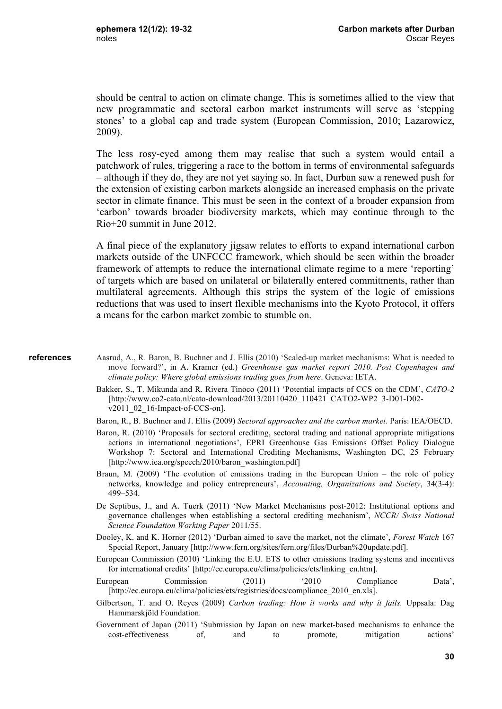should be central to action on climate change. This is sometimes allied to the view that new programmatic and sectoral carbon market instruments will serve as 'stepping stones' to a global cap and trade system (European Commission, 2010; Lazarowicz, 2009).

The less rosy-eyed among them may realise that such a system would entail a patchwork of rules, triggering a race to the bottom in terms of environmental safeguards – although if they do, they are not yet saying so. In fact, Durban saw a renewed push for the extension of existing carbon markets alongside an increased emphasis on the private sector in climate finance. This must be seen in the context of a broader expansion from 'carbon' towards broader biodiversity markets, which may continue through to the Rio+20 summit in June 2012.

A final piece of the explanatory jigsaw relates to efforts to expand international carbon markets outside of the UNFCCC framework, which should be seen within the broader framework of attempts to reduce the international climate regime to a mere 'reporting' of targets which are based on unilateral or bilaterally entered commitments, rather than multilateral agreements. Although this strips the system of the logic of emissions reductions that was used to insert flexible mechanisms into the Kyoto Protocol, it offers a means for the carbon market zombie to stumble on.

#### **references**

- Aasrud, A., R. Baron, B. Buchner and J. Ellis (2010) 'Scaled-up market mechanisms: What is needed to move forward?', in A. Kramer (ed.) *Greenhouse gas market report 2010. Post Copenhagen and climate policy: Where global emissions trading goes from here*. Geneva: IETA.
	- Bakker, S., T. Mikunda and R. Rivera Tinoco (2011) 'Potential impacts of CCS on the CDM', *CATO-2*  [http://www.co2-cato.nl/cato-download/2013/20110420\_110421\_CATO2-WP2\_3-D01-D02 v2011\_02\_16-Impact-of-CCS-on].
	- Baron, R., B. Buchner and J. Ellis (2009) *Sectoral approaches and the carbon market.* Paris: IEA/OECD.
	- Baron, R. (2010) 'Proposals for sectoral crediting, sectoral trading and national appropriate mitigations actions in international negotiations', EPRI Greenhouse Gas Emissions Offset Policy Dialogue Workshop 7: Sectoral and International Crediting Mechanisms, Washington DC, 25 February [http://www.iea.org/speech/2010/baron\_washington.pdf]
- Braun, M. (2009) 'The evolution of emissions trading in the European Union the role of policy networks, knowledge and policy entrepreneurs', *Accounting, Organizations and Society*, 34(3-4): 499–534.
- De Septibus, J., and A. Tuerk (2011) 'New Market Mechanisms post-2012: Institutional options and governance challenges when establishing a sectoral crediting mechanism', *NCCR/ Swiss National Science Foundation Working Paper* 2011/55.
- Dooley, K. and K. Horner (2012) 'Durban aimed to save the market, not the climate', *Forest Watch* 167 Special Report, January [http://www.fern.org/sites/fern.org/files/Durban%20update.pdf].
- European Commission (2010) 'Linking the E.U. ETS to other emissions trading systems and incentives for international credits' [http://ec.europa.eu/clima/policies/ets/linking\_en.htm].
- European Commission (2011) '2010 Compliance Data', [http://ec.europa.eu/clima/policies/ets/registries/docs/compliance\_2010\_en.xls].
- Gilbertson, T. and O. Reyes (2009) *Carbon trading: How it works and why it fails.* Uppsala: Dag Hammarskjöld Foundation.
- Government of Japan (2011) 'Submission by Japan on new market-based mechanisms to enhance the cost-effectiveness of, and to promote, mitigation actions'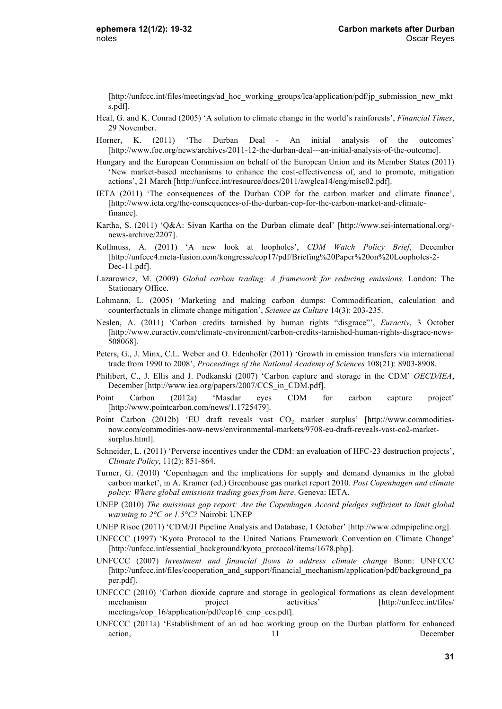[http://unfccc.int/files/meetings/ad\_hoc\_working\_groups/lca/application/pdf/jp\_submission\_new\_mkt s.pdf].

- Heal, G. and K. Conrad (2005) 'A solution to climate change in the world's rainforests', *Financial Times*, 29 November.
- Horner, K. (2011) 'The Durban Deal An initial analysis of the outcomes' [http://www.foe.org/news/archives/2011-12-the-durban-deal---an-initial-analysis-of-the-outcome].
- Hungary and the European Commission on behalf of the European Union and its Member States (2011) 'New market-based mechanisms to enhance the cost-effectiveness of, and to promote, mitigation actions', 21 March [http://unfccc.int/resource/docs/2011/awglca14/eng/misc02.pdf].
- IETA (2011) 'The consequences of the Durban COP for the carbon market and climate finance', [http://www.ieta.org/the-consequences-of-the-durban-cop-for-the-carbon-market-and-climatefinance].
- Kartha, S. (2011) 'Q&A: Sivan Kartha on the Durban climate deal' [http://www.sei-international.org/ news-archive/2207].
- Kollmuss, A. (2011) 'A new look at loopholes', *CDM Watch Policy Brief*, December [http://unfccc4.meta-fusion.com/kongresse/cop17/pdf/Briefing%20Paper%20on%20Loopholes-2- Dec-11.pdf].
- Lazarowicz, M. (2009) *Global carbon trading: A framework for reducing emissions*. London: The Stationary Office.
- Lohmann, L. (2005) 'Marketing and making carbon dumps: Commodification, calculation and counterfactuals in climate change mitigation', *Science as Culture* 14(3): 203-235.
- Neslen, A. (2011) 'Carbon credits tarnished by human rights "disgrace"', *Euractiv*, 3 October [http://www.euractiv.com/climate-environment/carbon-credits-tarnished-human-rights-disgrace-news-508068].
- Peters, G., J. Minx, C.L. Weber and O. Edenhofer (2011) 'Growth in emission transfers via international trade from 1990 to 2008', *Proceedings of the National Academy of Sciences* 108(21): 8903-8908.
- Philibert, C., J. Ellis and J. Podkanski (2007) 'Carbon capture and storage in the CDM' *OECD/IEA*, December [http://www.iea.org/papers/2007/CCS\_in\_CDM.pdf].
- Point Carbon (2012a) 'Masdar eyes CDM for carbon capture project' [http://www.pointcarbon.com/news/1.1725479].
- Point Carbon (2012b) 'EU draft reveals vast  $CO<sub>2</sub>$  market surplus' [http://www.commoditiesnow.com/commodities-now-news/environmental-markets/9708-eu-draft-reveals-vast-co2-marketsurplus.html].
- Schneider, L. (2011) 'Perverse incentives under the CDM: an evaluation of HFC-23 destruction projects', *Climate Policy*, 11(2): 851-864.
- Turner, G. (2010) 'Copenhagen and the implications for supply and demand dynamics in the global carbon market', in A. Kramer (ed.) Greenhouse gas market report 2010*. Post Copenhagen and climate policy: Where global emissions trading goes from here*. Geneva: IETA.
- UNEP (2010) *The emissions gap report: Are the Copenhagen Accord pledges sufficient to limit global warming to 2°C or 1.5°C?* Nairobi: UNEP
- UNEP Risoe (2011) 'CDM/JI Pipeline Analysis and Database, 1 October' [http://www.cdmpipeline.org].
- UNFCCC (1997) 'Kyoto Protocol to the United Nations Framework Convention on Climate Change' [http://unfccc.int/essential\_background/kyoto\_protocol/items/1678.php].
- UNFCCC (2007) *Investment and financial flows to address climate change* Bonn: UNFCCC [http://unfccc.int/files/cooperation\_and\_support/financial\_mechanism/application/pdf/background\_pa per.pdf].
- UNFCCC (2010) 'Carbon dioxide capture and storage in geological formations as clean development mechanism project activities' [http://unfccc.int/files/ meetings/cop\_16/application/pdf/cop16\_cmp\_ccs.pdf].
- UNFCCC (2011a) 'Establishment of an ad hoc working group on the Durban platform for enhanced action, 11 December